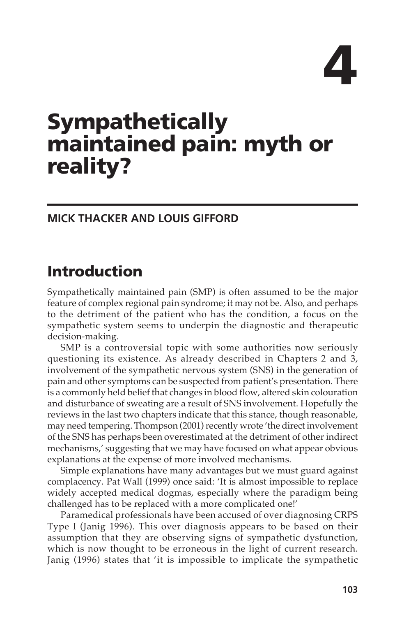# **4**

# **Sympathetically maintained pain: myth or reality?**

#### **MICK THACKER AND LOUIS GIFFORD**

## **Introduction**

Sympathetically maintained pain (SMP) is often assumed to be the major feature of complex regional pain syndrome; it may not be. Also, and perhaps to the detriment of the patient who has the condition, a focus on the sympathetic system seems to underpin the diagnostic and therapeutic decision-making.

SMP is a controversial topic with some authorities now seriously questioning its existence. As already described in Chapters 2 and 3, involvement of the sympathetic nervous system (SNS) in the generation of pain and other symptoms can be suspected from patient's presentation. There is a commonly held belief that changes in blood flow, altered skin colouration and disturbance of sweating are a result of SNS involvement. Hopefully the reviews in the last two chapters indicate that this stance, though reasonable, may need tempering. Thompson (2001) recently wrote 'the direct involvement of the SNS has perhaps been overestimated at the detriment of other indirect mechanisms,' suggesting that we may have focused on what appear obvious explanations at the expense of more involved mechanisms.

Simple explanations have many advantages but we must guard against complacency. Pat Wall (1999) once said: 'It is almost impossible to replace widely accepted medical dogmas, especially where the paradigm being challenged has to be replaced with a more complicated one!'

Paramedical professionals have been accused of over diagnosing CRPS Type I (Janig 1996). This over diagnosis appears to be based on their assumption that they are observing signs of sympathetic dysfunction, which is now thought to be erroneous in the light of current research. Janig (1996) states that 'it is impossible to implicate the sympathetic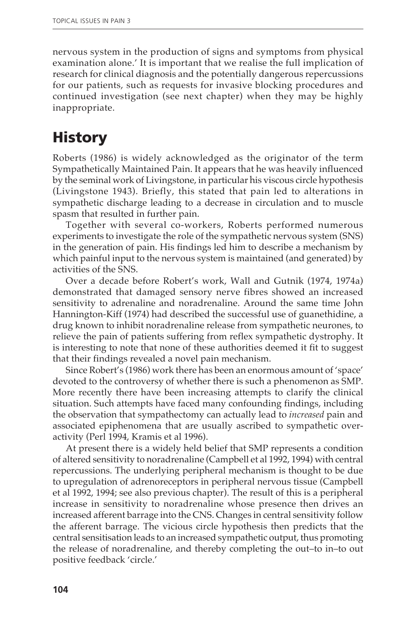nervous system in the production of signs and symptoms from physical examination alone.' It is important that we realise the full implication of research for clinical diagnosis and the potentially dangerous repercussions for our patients, such as requests for invasive blocking procedures and continued investigation (see next chapter) when they may be highly inappropriate.

# **History**

Roberts (1986) is widely acknowledged as the originator of the term Sympathetically Maintained Pain. It appears that he was heavily influenced by the seminal work of Livingstone, in particular his viscous circle hypothesis (Livingstone 1943). Briefly, this stated that pain led to alterations in sympathetic discharge leading to a decrease in circulation and to muscle spasm that resulted in further pain.

Together with several co-workers, Roberts performed numerous experiments to investigate the role of the sympathetic nervous system (SNS) in the generation of pain. His findings led him to describe a mechanism by which painful input to the nervous system is maintained (and generated) by activities of the SNS.

Over a decade before Robert's work, Wall and Gutnik (1974, 1974a) demonstrated that damaged sensory nerve fibres showed an increased sensitivity to adrenaline and noradrenaline. Around the same time John Hannington-Kiff (1974) had described the successful use of guanethidine, a drug known to inhibit noradrenaline release from sympathetic neurones, to relieve the pain of patients suffering from reflex sympathetic dystrophy. It is interesting to note that none of these authorities deemed it fit to suggest that their findings revealed a novel pain mechanism.

Since Robert's (1986) work there has been an enormous amount of 'space' devoted to the controversy of whether there is such a phenomenon as SMP. More recently there have been increasing attempts to clarify the clinical situation. Such attempts have faced many confounding findings, including the observation that sympathectomy can actually lead to *increased* pain and associated epiphenomena that are usually ascribed to sympathetic overactivity (Perl 1994, Kramis et al 1996).

At present there is a widely held belief that SMP represents a condition of altered sensitivity to noradrenaline (Campbell et al 1992, 1994) with central repercussions. The underlying peripheral mechanism is thought to be due to upregulation of adrenoreceptors in peripheral nervous tissue (Campbell et al 1992, 1994; see also previous chapter). The result of this is a peripheral increase in sensitivity to noradrenaline whose presence then drives an increased afferent barrage into the CNS. Changes in central sensitivity follow the afferent barrage. The vicious circle hypothesis then predicts that the central sensitisation leads to an increased sympathetic output, thus promoting the release of noradrenaline, and thereby completing the out–to in–to out positive feedback 'circle.'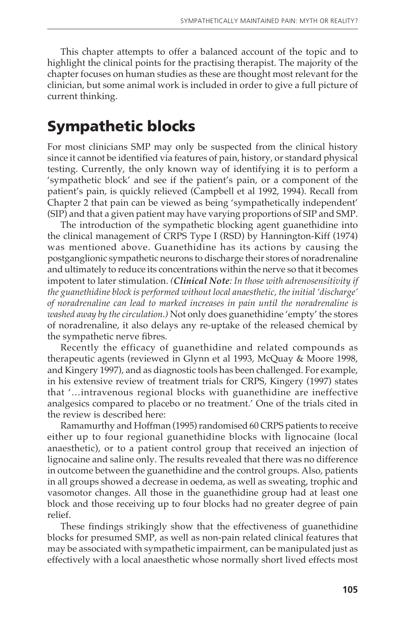This chapter attempts to offer a balanced account of the topic and to highlight the clinical points for the practising therapist. The majority of the chapter focuses on human studies as these are thought most relevant for the clinician, but some animal work is included in order to give a full picture of current thinking.

#### **Sympathetic blocks**

For most clinicians SMP may only be suspected from the clinical history since it cannot be identified via features of pain, history, or standard physical testing. Currently, the only known way of identifying it is to perform a 'sympathetic block' and see if the patient's pain, or a component of the patient's pain, is quickly relieved (Campbell et al 1992, 1994). Recall from Chapter 2 that pain can be viewed as being 'sympathetically independent' (SIP) and that a given patient may have varying proportions of SIP and SMP.

The introduction of the sympathetic blocking agent guanethidine into the clinical management of CRPS Type I (RSD) by Hannington-Kiff (1974) was mentioned above. Guanethidine has its actions by causing the postganglionic sympathetic neurons to discharge their stores of noradrenaline and ultimately to reduce its concentrations within the nerve so that it becomes impotent to later stimulation. *(Clinical Note: In those with adrenosensitivity if the guanethidine block is performed without local anaesthetic, the initial 'discharge' of noradrenaline can lead to marked increases in pain until the noradrenaline is washed away by the circulation.)* Not only does guanethidine 'empty' the stores of noradrenaline, it also delays any re-uptake of the released chemical by the sympathetic nerve fibres.

Recently the efficacy of guanethidine and related compounds as therapeutic agents (reviewed in Glynn et al 1993, McQuay & Moore 1998, and Kingery 1997), and as diagnostic tools has been challenged. For example, in his extensive review of treatment trials for CRPS, Kingery (1997) states that '…intravenous regional blocks with guanethidine are ineffective analgesics compared to placebo or no treatment.' One of the trials cited in the review is described here:

Ramamurthy and Hoffman (1995) randomised 60 CRPS patients to receive either up to four regional guanethidine blocks with lignocaine (local anaesthetic), or to a patient control group that received an injection of lignocaine and saline only. The results revealed that there was no difference in outcome between the guanethidine and the control groups. Also, patients in all groups showed a decrease in oedema, as well as sweating, trophic and vasomotor changes. All those in the guanethidine group had at least one block and those receiving up to four blocks had no greater degree of pain relief.

These findings strikingly show that the effectiveness of guanethidine blocks for presumed SMP, as well as non-pain related clinical features that may be associated with sympathetic impairment, can be manipulated just as effectively with a local anaesthetic whose normally short lived effects most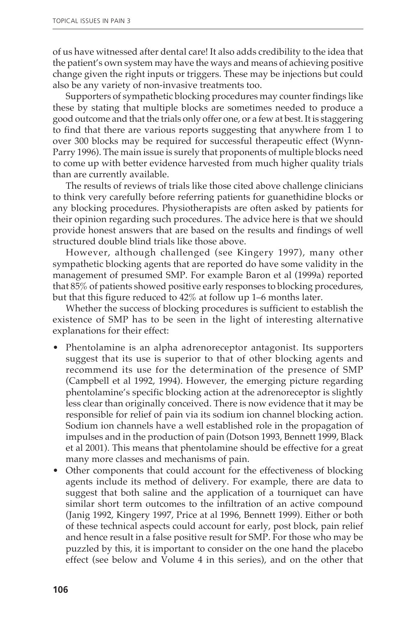of us have witnessed after dental care! It also adds credibility to the idea that the patient's own system may have the ways and means of achieving positive change given the right inputs or triggers. These may be injections but could also be any variety of non-invasive treatments too.

Supporters of sympathetic blocking procedures may counter findings like these by stating that multiple blocks are sometimes needed to produce a good outcome and that the trials only offer one, or a few at best. It is staggering to find that there are various reports suggesting that anywhere from 1 to over 300 blocks may be required for successful therapeutic effect (Wynn-Parry 1996). The main issue is surely that proponents of multiple blocks need to come up with better evidence harvested from much higher quality trials than are currently available.

The results of reviews of trials like those cited above challenge clinicians to think very carefully before referring patients for guanethidine blocks or any blocking procedures. Physiotherapists are often asked by patients for their opinion regarding such procedures. The advice here is that we should provide honest answers that are based on the results and findings of well structured double blind trials like those above.

However, although challenged (see Kingery 1997), many other sympathetic blocking agents that are reported do have some validity in the management of presumed SMP. For example Baron et al (1999a) reported that 85% of patients showed positive early responses to blocking procedures, but that this figure reduced to 42% at follow up 1–6 months later.

Whether the success of blocking procedures is sufficient to establish the existence of SMP has to be seen in the light of interesting alternative explanations for their effect:

- Phentolamine is an alpha adrenoreceptor antagonist. Its supporters suggest that its use is superior to that of other blocking agents and recommend its use for the determination of the presence of SMP (Campbell et al 1992, 1994). However, the emerging picture regarding phentolamine's specific blocking action at the adrenoreceptor is slightly less clear than originally conceived. There is now evidence that it may be responsible for relief of pain via its sodium ion channel blocking action. Sodium ion channels have a well established role in the propagation of impulses and in the production of pain (Dotson 1993, Bennett 1999, Black et al 2001). This means that phentolamine should be effective for a great many more classes and mechanisms of pain.
- Other components that could account for the effectiveness of blocking agents include its method of delivery. For example, there are data to suggest that both saline and the application of a tourniquet can have similar short term outcomes to the infiltration of an active compound (Janig 1992, Kingery 1997, Price at al 1996, Bennett 1999). Either or both of these technical aspects could account for early, post block, pain relief and hence result in a false positive result for SMP. For those who may be puzzled by this, it is important to consider on the one hand the placebo effect (see below and Volume 4 in this series), and on the other that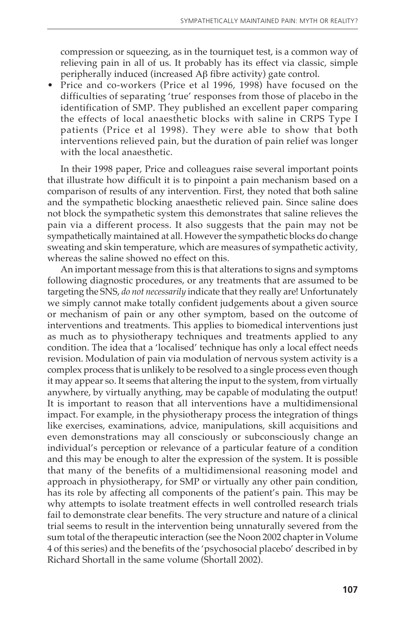compression or squeezing, as in the tourniquet test, is a common way of relieving pain in all of us. It probably has its effect via classic, simple peripherally induced (increased Aβ fibre activity) gate control.

• Price and co-workers (Price et al 1996, 1998) have focused on the difficulties of separating 'true' responses from those of placebo in the identification of SMP. They published an excellent paper comparing the effects of local anaesthetic blocks with saline in CRPS Type I patients (Price et al 1998). They were able to show that both interventions relieved pain, but the duration of pain relief was longer with the local anaesthetic.

In their 1998 paper, Price and colleagues raise several important points that illustrate how difficult it is to pinpoint a pain mechanism based on a comparison of results of any intervention. First, they noted that both saline and the sympathetic blocking anaesthetic relieved pain. Since saline does not block the sympathetic system this demonstrates that saline relieves the pain via a different process. It also suggests that the pain may not be sympathetically maintained at all. However the sympathetic blocks do change sweating and skin temperature, which are measures of sympathetic activity, whereas the saline showed no effect on this.

An important message from this is that alterations to signs and symptoms following diagnostic procedures, or any treatments that are assumed to be targeting the SNS, *do not necessarily* indicate that they really are! Unfortunately we simply cannot make totally confident judgements about a given source or mechanism of pain or any other symptom, based on the outcome of interventions and treatments. This applies to biomedical interventions just as much as to physiotherapy techniques and treatments applied to any condition. The idea that a 'localised' technique has only a local effect needs revision. Modulation of pain via modulation of nervous system activity is a complex process that is unlikely to be resolved to a single process even though it may appear so. It seems that altering the input to the system, from virtually anywhere, by virtually anything, may be capable of modulating the output! It is important to reason that all interventions have a multidimensional impact. For example, in the physiotherapy process the integration of things like exercises, examinations, advice, manipulations, skill acquisitions and even demonstrations may all consciously or subconsciously change an individual's perception or relevance of a particular feature of a condition and this may be enough to alter the expression of the system. It is possible that many of the benefits of a multidimensional reasoning model and approach in physiotherapy, for SMP or virtually any other pain condition, has its role by affecting all components of the patient's pain. This may be why attempts to isolate treatment effects in well controlled research trials fail to demonstrate clear benefits. The very structure and nature of a clinical trial seems to result in the intervention being unnaturally severed from the sum total of the therapeutic interaction (see the Noon 2002 chapter in Volume 4 of this series) and the benefits of the 'psychosocial placebo' described in by Richard Shortall in the same volume (Shortall 2002).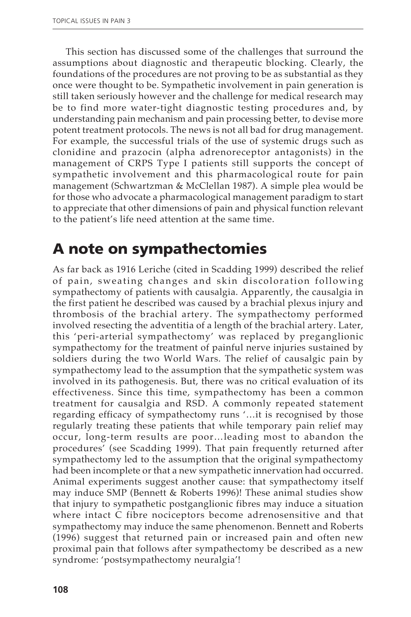This section has discussed some of the challenges that surround the assumptions about diagnostic and therapeutic blocking. Clearly, the foundations of the procedures are not proving to be as substantial as they once were thought to be. Sympathetic involvement in pain generation is still taken seriously however and the challenge for medical research may be to find more water-tight diagnostic testing procedures and, by understanding pain mechanism and pain processing better, to devise more potent treatment protocols. The news is not all bad for drug management. For example, the successful trials of the use of systemic drugs such as clonidine and prazocin (alpha adrenoreceptor antagonists) in the management of CRPS Type I patients still supports the concept of sympathetic involvement and this pharmacological route for pain management (Schwartzman & McClellan 1987). A simple plea would be for those who advocate a pharmacological management paradigm to start to appreciate that other dimensions of pain and physical function relevant to the patient's life need attention at the same time.

#### **A note on sympathectomies**

As far back as 1916 Leriche (cited in Scadding 1999) described the relief of pain, sweating changes and skin discoloration following sympathectomy of patients with causalgia. Apparently, the causalgia in the first patient he described was caused by a brachial plexus injury and thrombosis of the brachial artery. The sympathectomy performed involved resecting the adventitia of a length of the brachial artery. Later, this 'peri-arterial sympathectomy' was replaced by preganglionic sympathectomy for the treatment of painful nerve injuries sustained by soldiers during the two World Wars. The relief of causalgic pain by sympathectomy lead to the assumption that the sympathetic system was involved in its pathogenesis. But, there was no critical evaluation of its effectiveness. Since this time, sympathectomy has been a common treatment for causalgia and RSD. A commonly repeated statement regarding efficacy of sympathectomy runs '…it is recognised by those regularly treating these patients that while temporary pain relief may occur, long-term results are poor…leading most to abandon the procedures' (see Scadding 1999). That pain frequently returned after sympathectomy led to the assumption that the original sympathectomy had been incomplete or that a new sympathetic innervation had occurred. Animal experiments suggest another cause: that sympathectomy itself may induce SMP (Bennett & Roberts 1996)! These animal studies show that injury to sympathetic postganglionic fibres may induce a situation where intact C fibre nociceptors become adrenosensitive and that sympathectomy may induce the same phenomenon. Bennett and Roberts (1996) suggest that returned pain or increased pain and often new proximal pain that follows after sympathectomy be described as a new syndrome: 'postsympathectomy neuralgia'!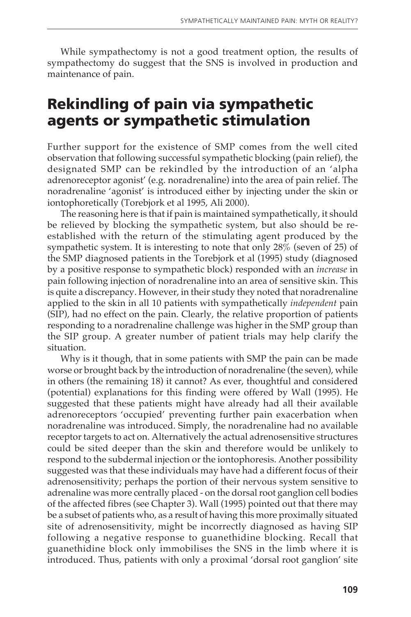While sympathectomy is not a good treatment option, the results of sympathectomy do suggest that the SNS is involved in production and maintenance of pain.

### **Rekindling of pain via sympathetic agents or sympathetic stimulation**

Further support for the existence of SMP comes from the well cited observation that following successful sympathetic blocking (pain relief), the designated SMP can be rekindled by the introduction of an 'alpha adrenoreceptor agonist' (e.g. noradrenaline) into the area of pain relief. The noradrenaline 'agonist' is introduced either by injecting under the skin or iontophoretically (Torebjork et al 1995, Ali 2000).

The reasoning here is that if pain is maintained sympathetically, it should be relieved by blocking the sympathetic system, but also should be reestablished with the return of the stimulating agent produced by the sympathetic system. It is interesting to note that only 28% (seven of 25) of the SMP diagnosed patients in the Torebjork et al (1995) study (diagnosed by a positive response to sympathetic block) responded with an *increase* in pain following injection of noradrenaline into an area of sensitive skin. This is quite a discrepancy. However, in their study they noted that noradrenaline applied to the skin in all 10 patients with sympathetically *independent* pain (SIP), had no effect on the pain. Clearly, the relative proportion of patients responding to a noradrenaline challenge was higher in the SMP group than the SIP group. A greater number of patient trials may help clarify the situation.

Why is it though, that in some patients with SMP the pain can be made worse or brought back by the introduction of noradrenaline (the seven), while in others (the remaining 18) it cannot? As ever, thoughtful and considered (potential) explanations for this finding were offered by Wall (1995). He suggested that these patients might have already had all their available adrenoreceptors 'occupied' preventing further pain exacerbation when noradrenaline was introduced. Simply, the noradrenaline had no available receptor targets to act on. Alternatively the actual adrenosensitive structures could be sited deeper than the skin and therefore would be unlikely to respond to the subdermal injection or the iontophoresis. Another possibility suggested was that these individuals may have had a different focus of their adrenosensitivity; perhaps the portion of their nervous system sensitive to adrenaline was more centrally placed - on the dorsal root ganglion cell bodies of the affected fibres (see Chapter 3). Wall (1995) pointed out that there may be a subset of patients who, as a result of having this more proximally situated site of adrenosensitivity, might be incorrectly diagnosed as having SIP following a negative response to guanethidine blocking. Recall that guanethidine block only immobilises the SNS in the limb where it is introduced. Thus, patients with only a proximal 'dorsal root ganglion' site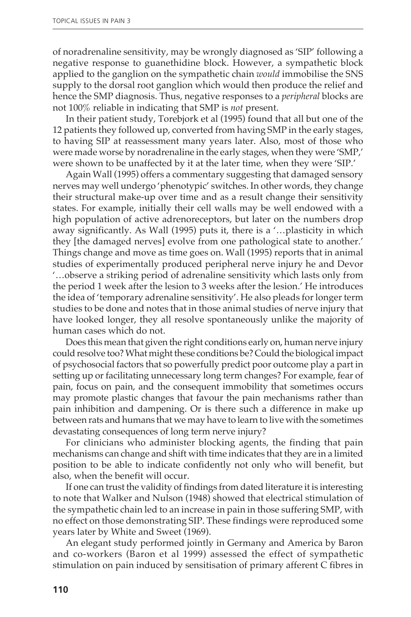of noradrenaline sensitivity, may be wrongly diagnosed as 'SIP' following a negative response to guanethidine block. However, a sympathetic block applied to the ganglion on the sympathetic chain *would* immobilise the SNS supply to the dorsal root ganglion which would then produce the relief and hence the SMP diagnosis. Thus, negative responses to a *peripheral* blocks are not 100% reliable in indicating that SMP is *not* present.

In their patient study, Torebjork et al (1995) found that all but one of the 12 patients they followed up, converted from having SMP in the early stages, to having SIP at reassessment many years later. Also, most of those who were made worse by noradrenaline in the early stages, when they were 'SMP,' were shown to be unaffected by it at the later time, when they were 'SIP.'

Again Wall (1995) offers a commentary suggesting that damaged sensory nerves may well undergo 'phenotypic' switches. In other words, they change their structural make-up over time and as a result change their sensitivity states. For example, initially their cell walls may be well endowed with a high population of active adrenoreceptors, but later on the numbers drop away significantly. As Wall (1995) puts it, there is a '…plasticity in which they [the damaged nerves] evolve from one pathological state to another.' Things change and move as time goes on. Wall (1995) reports that in animal studies of experimentally produced peripheral nerve injury he and Devor '…observe a striking period of adrenaline sensitivity which lasts only from the period 1 week after the lesion to 3 weeks after the lesion.' He introduces the idea of 'temporary adrenaline sensitivity'. He also pleads for longer term studies to be done and notes that in those animal studies of nerve injury that have looked longer, they all resolve spontaneously unlike the majority of human cases which do not.

Does this mean that given the right conditions early on, human nerve injury could resolve too? What might these conditions be? Could the biological impact of psychosocial factors that so powerfully predict poor outcome play a part in setting up or facilitating unnecessary long term changes? For example, fear of pain, focus on pain, and the consequent immobility that sometimes occurs may promote plastic changes that favour the pain mechanisms rather than pain inhibition and dampening. Or is there such a difference in make up between rats and humans that we may have to learn to live with the sometimes devastating consequences of long term nerve injury?

For clinicians who administer blocking agents, the finding that pain mechanisms can change and shift with time indicates that they are in a limited position to be able to indicate confidently not only who will benefit, but also, when the benefit will occur.

If one can trust the validity of findings from dated literature it is interesting to note that Walker and Nulson (1948) showed that electrical stimulation of the sympathetic chain led to an increase in pain in those suffering SMP, with no effect on those demonstrating SIP. These findings were reproduced some years later by White and Sweet (1969).

An elegant study performed jointly in Germany and America by Baron and co-workers (Baron et al 1999) assessed the effect of sympathetic stimulation on pain induced by sensitisation of primary afferent C fibres in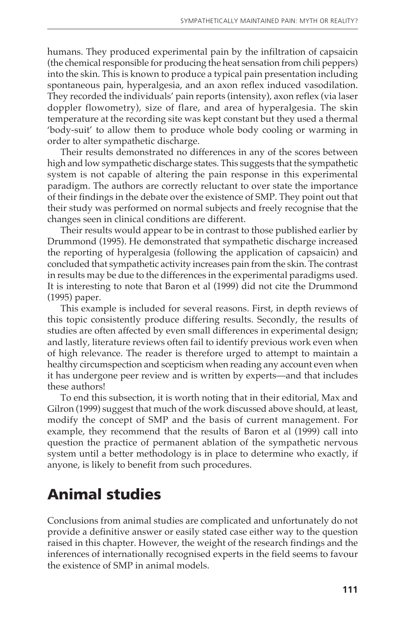humans. They produced experimental pain by the infiltration of capsaicin (the chemical responsible for producing the heat sensation from chili peppers) into the skin. This is known to produce a typical pain presentation including spontaneous pain, hyperalgesia, and an axon reflex induced vasodilation. They recorded the individuals' pain reports (intensity), axon reflex (via laser doppler flowometry), size of flare, and area of hyperalgesia. The skin temperature at the recording site was kept constant but they used a thermal 'body-suit' to allow them to produce whole body cooling or warming in order to alter sympathetic discharge.

Their results demonstrated no differences in any of the scores between high and low sympathetic discharge states. This suggests that the sympathetic system is not capable of altering the pain response in this experimental paradigm. The authors are correctly reluctant to over state the importance of their findings in the debate over the existence of SMP. They point out that their study was performed on normal subjects and freely recognise that the changes seen in clinical conditions are different.

Their results would appear to be in contrast to those published earlier by Drummond (1995). He demonstrated that sympathetic discharge increased the reporting of hyperalgesia (following the application of capsaicin) and concluded that sympathetic activity increases pain from the skin. The contrast in results may be due to the differences in the experimental paradigms used. It is interesting to note that Baron et al (1999) did not cite the Drummond (1995) paper.

This example is included for several reasons. First, in depth reviews of this topic consistently produce differing results. Secondly, the results of studies are often affected by even small differences in experimental design; and lastly, literature reviews often fail to identify previous work even when of high relevance. The reader is therefore urged to attempt to maintain a healthy circumspection and scepticism when reading any account even when it has undergone peer review and is written by experts—and that includes these authors!

To end this subsection, it is worth noting that in their editorial, Max and Gilron (1999) suggest that much of the work discussed above should, at least, modify the concept of SMP and the basis of current management. For example, they recommend that the results of Baron et al (1999) call into question the practice of permanent ablation of the sympathetic nervous system until a better methodology is in place to determine who exactly, if anyone, is likely to benefit from such procedures.

### **Animal studies**

Conclusions from animal studies are complicated and unfortunately do not provide a definitive answer or easily stated case either way to the question raised in this chapter. However, the weight of the research findings and the inferences of internationally recognised experts in the field seems to favour the existence of SMP in animal models.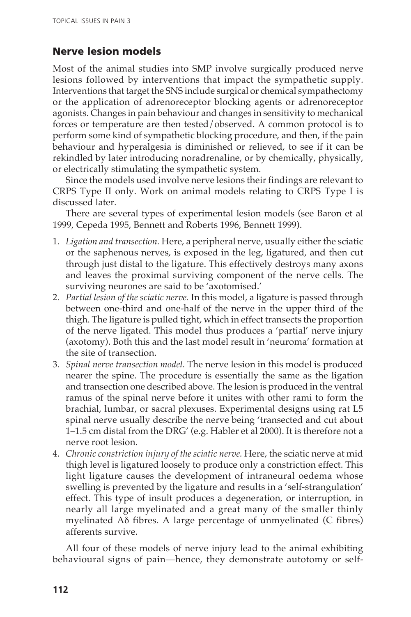#### **Nerve lesion models**

Most of the animal studies into SMP involve surgically produced nerve lesions followed by interventions that impact the sympathetic supply. Interventions that target the SNS include surgical or chemical sympathectomy or the application of adrenoreceptor blocking agents or adrenoreceptor agonists. Changes in pain behaviour and changes in sensitivity to mechanical forces or temperature are then tested/observed. A common protocol is to perform some kind of sympathetic blocking procedure, and then, if the pain behaviour and hyperalgesia is diminished or relieved, to see if it can be rekindled by later introducing noradrenaline, or by chemically, physically, or electrically stimulating the sympathetic system.

Since the models used involve nerve lesions their findings are relevant to CRPS Type II only. Work on animal models relating to CRPS Type I is discussed later.

There are several types of experimental lesion models (see Baron et al 1999, Cepeda 1995, Bennett and Roberts 1996, Bennett 1999).

- 1. *Ligation and transection.* Here, a peripheral nerve, usually either the sciatic or the saphenous nerves, is exposed in the leg, ligatured, and then cut through just distal to the ligature. This effectively destroys many axons and leaves the proximal surviving component of the nerve cells. The surviving neurones are said to be 'axotomised.'
- 2. *Partial lesion of the sciatic nerve.* In this model, a ligature is passed through between one-third and one-half of the nerve in the upper third of the thigh. The ligature is pulled tight, which in effect transects the proportion of the nerve ligated. This model thus produces a 'partial' nerve injury (axotomy). Both this and the last model result in 'neuroma' formation at the site of transection.
- 3. *Spinal nerve transection model.* The nerve lesion in this model is produced nearer the spine. The procedure is essentially the same as the ligation and transection one described above. The lesion is produced in the ventral ramus of the spinal nerve before it unites with other rami to form the brachial, lumbar, or sacral plexuses. Experimental designs using rat L5 spinal nerve usually describe the nerve being 'transected and cut about 1–1.5 cm distal from the DRG' (e.g. Habler et al 2000). It is therefore not a nerve root lesion.
- 4. *Chronic constriction injury of the sciatic nerve.* Here, the sciatic nerve at mid thigh level is ligatured loosely to produce only a constriction effect. This light ligature causes the development of intraneural oedema whose swelling is prevented by the ligature and results in a 'self-strangulation' effect. This type of insult produces a degeneration, or interruption, in nearly all large myelinated and a great many of the smaller thinly myelinated Aδ fibres. A large percentage of unmyelinated (C fibres) afferents survive.

All four of these models of nerve injury lead to the animal exhibiting behavioural signs of pain—hence, they demonstrate autotomy or self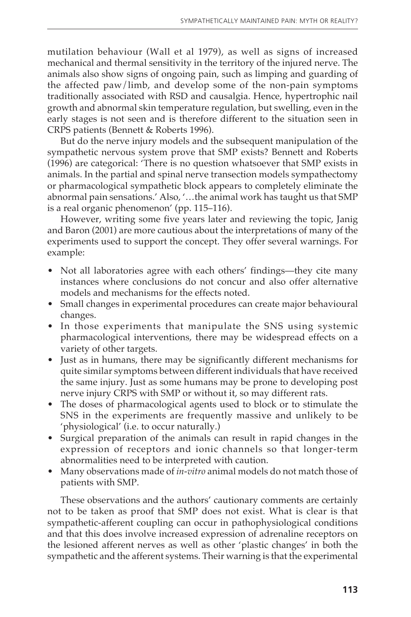mutilation behaviour (Wall et al 1979), as well as signs of increased mechanical and thermal sensitivity in the territory of the injured nerve. The animals also show signs of ongoing pain, such as limping and guarding of the affected paw/limb, and develop some of the non-pain symptoms traditionally associated with RSD and causalgia. Hence, hypertrophic nail growth and abnormal skin temperature regulation, but swelling, even in the early stages is not seen and is therefore different to the situation seen in CRPS patients (Bennett & Roberts 1996).

But do the nerve injury models and the subsequent manipulation of the sympathetic nervous system prove that SMP exists? Bennett and Roberts (1996) are categorical: 'There is no question whatsoever that SMP exists in animals. In the partial and spinal nerve transection models sympathectomy or pharmacological sympathetic block appears to completely eliminate the abnormal pain sensations.' Also, '…the animal work has taught us that SMP is a real organic phenomenon' (pp. 115–116).

However, writing some five years later and reviewing the topic, Janig and Baron (2001) are more cautious about the interpretations of many of the experiments used to support the concept. They offer several warnings. For example:

- Not all laboratories agree with each others' findings—they cite many instances where conclusions do not concur and also offer alternative models and mechanisms for the effects noted.
- Small changes in experimental procedures can create major behavioural changes.
- In those experiments that manipulate the SNS using systemic pharmacological interventions, there may be widespread effects on a variety of other targets.
- Just as in humans, there may be significantly different mechanisms for quite similar symptoms between different individuals that have received the same injury. Just as some humans may be prone to developing post nerve injury CRPS with SMP or without it, so may different rats.
- The doses of pharmacological agents used to block or to stimulate the SNS in the experiments are frequently massive and unlikely to be 'physiological' (i.e. to occur naturally.)
- Surgical preparation of the animals can result in rapid changes in the expression of receptors and ionic channels so that longer-term abnormalities need to be interpreted with caution.
- Many observations made of *in-vitro* animal models do not match those of patients with SMP.

These observations and the authors' cautionary comments are certainly not to be taken as proof that SMP does not exist. What is clear is that sympathetic-afferent coupling can occur in pathophysiological conditions and that this does involve increased expression of adrenaline receptors on the lesioned afferent nerves as well as other 'plastic changes' in both the sympathetic and the afferent systems. Their warning is that the experimental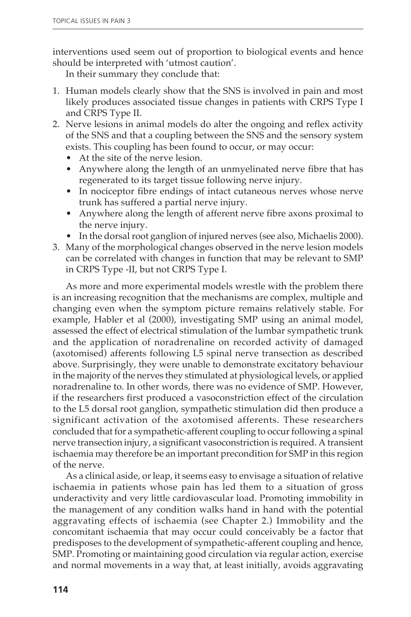interventions used seem out of proportion to biological events and hence should be interpreted with 'utmost caution'.

In their summary they conclude that:

- 1. Human models clearly show that the SNS is involved in pain and most likely produces associated tissue changes in patients with CRPS Type I and CRPS Type II.
- 2. Nerve lesions in animal models do alter the ongoing and reflex activity of the SNS and that a coupling between the SNS and the sensory system exists. This coupling has been found to occur, or may occur:
	- At the site of the nerve lesion.
	- Anywhere along the length of an unmyelinated nerve fibre that has regenerated to its target tissue following nerve injury.
	- In nociceptor fibre endings of intact cutaneous nerves whose nerve trunk has suffered a partial nerve injury.
	- Anywhere along the length of afferent nerve fibre axons proximal to the nerve injury.
	- In the dorsal root ganglion of injured nerves (see also, Michaelis 2000).
- 3. Many of the morphological changes observed in the nerve lesion models can be correlated with changes in function that may be relevant to SMP in CRPS Type -II, but not CRPS Type I.

As more and more experimental models wrestle with the problem there is an increasing recognition that the mechanisms are complex, multiple and changing even when the symptom picture remains relatively stable. For example, Habler et al (2000), investigating SMP using an animal model, assessed the effect of electrical stimulation of the lumbar sympathetic trunk and the application of noradrenaline on recorded activity of damaged (axotomised) afferents following L5 spinal nerve transection as described above. Surprisingly, they were unable to demonstrate excitatory behaviour in the majority of the nerves they stimulated at physiological levels, or applied noradrenaline to. In other words, there was no evidence of SMP. However, if the researchers first produced a vasoconstriction effect of the circulation to the L5 dorsal root ganglion, sympathetic stimulation did then produce a significant activation of the axotomised afferents. These researchers concluded that for a sympathetic-afferent coupling to occur following a spinal nerve transection injury, a significant vasoconstriction is required. A transient ischaemia may therefore be an important precondition for SMP in this region of the nerve.

As a clinical aside, or leap, it seems easy to envisage a situation of relative ischaemia in patients whose pain has led them to a situation of gross underactivity and very little cardiovascular load. Promoting immobility in the management of any condition walks hand in hand with the potential aggravating effects of ischaemia (see Chapter 2.) Immobility and the concomitant ischaemia that may occur could conceivably be a factor that predisposes to the development of sympathetic-afferent coupling and hence, SMP. Promoting or maintaining good circulation via regular action, exercise and normal movements in a way that, at least initially, avoids aggravating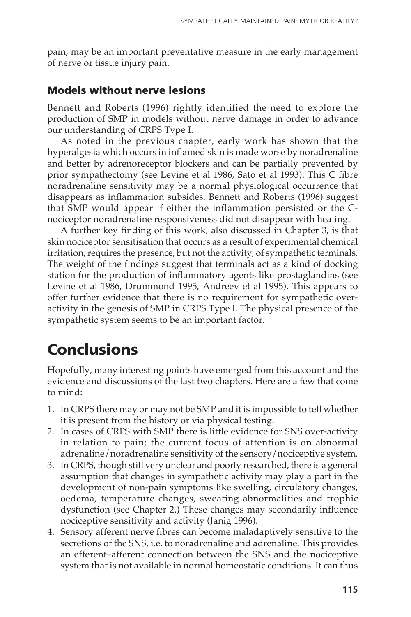pain, may be an important preventative measure in the early management of nerve or tissue injury pain.

#### **Models without nerve lesions**

Bennett and Roberts (1996) rightly identified the need to explore the production of SMP in models without nerve damage in order to advance our understanding of CRPS Type I.

As noted in the previous chapter, early work has shown that the hyperalgesia which occurs in inflamed skin is made worse by noradrenaline and better by adrenoreceptor blockers and can be partially prevented by prior sympathectomy (see Levine et al 1986, Sato et al 1993). This C fibre noradrenaline sensitivity may be a normal physiological occurrence that disappears as inflammation subsides. Bennett and Roberts (1996) suggest that SMP would appear if either the inflammation persisted or the Cnociceptor noradrenaline responsiveness did not disappear with healing.

A further key finding of this work, also discussed in Chapter 3, is that skin nociceptor sensitisation that occurs as a result of experimental chemical irritation, requires the presence, but not the activity, of sympathetic terminals. The weight of the findings suggest that terminals act as a kind of docking station for the production of inflammatory agents like prostaglandins (see Levine et al 1986, Drummond 1995, Andreev et al 1995). This appears to offer further evidence that there is no requirement for sympathetic overactivity in the genesis of SMP in CRPS Type I. The physical presence of the sympathetic system seems to be an important factor.

# **Conclusions**

Hopefully, many interesting points have emerged from this account and the evidence and discussions of the last two chapters. Here are a few that come to mind:

- 1. In CRPS there may or may not be SMP and it is impossible to tell whether it is present from the history or via physical testing.
- 2. In cases of CRPS with SMP there is little evidence for SNS over-activity in relation to pain; the current focus of attention is on abnormal adrenaline/noradrenaline sensitivity of the sensory/nociceptive system.
- 3. In CRPS, though still very unclear and poorly researched, there is a general assumption that changes in sympathetic activity may play a part in the development of non-pain symptoms like swelling, circulatory changes, oedema, temperature changes, sweating abnormalities and trophic dysfunction (see Chapter 2.) These changes may secondarily influence nociceptive sensitivity and activity (Janig 1996).
- 4. Sensory afferent nerve fibres can become maladaptively sensitive to the secretions of the SNS, i.e. to noradrenaline and adrenaline. This provides an efferent–afferent connection between the SNS and the nociceptive system that is not available in normal homeostatic conditions. It can thus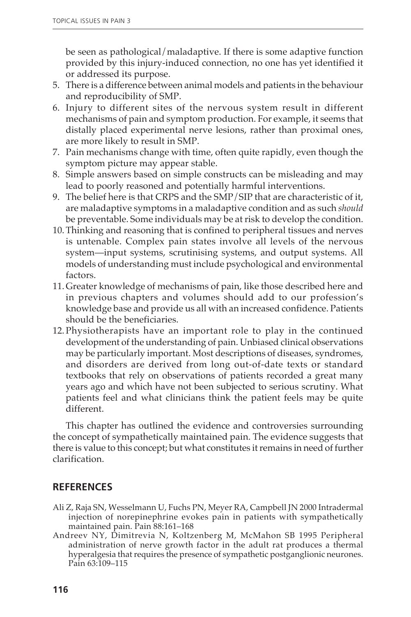be seen as pathological/maladaptive. If there is some adaptive function provided by this injury-induced connection, no one has yet identified it or addressed its purpose.

- 5. There is a difference between animal models and patients in the behaviour and reproducibility of SMP.
- 6. Injury to different sites of the nervous system result in different mechanisms of pain and symptom production. For example, it seems that distally placed experimental nerve lesions, rather than proximal ones, are more likely to result in SMP.
- 7. Pain mechanisms change with time, often quite rapidly, even though the symptom picture may appear stable.
- 8. Simple answers based on simple constructs can be misleading and may lead to poorly reasoned and potentially harmful interventions.
- 9. The belief here is that CRPS and the SMP/SIP that are characteristic of it, are maladaptive symptoms in a maladaptive condition and as such *should* be preventable. Some individuals may be at risk to develop the condition.
- 10. Thinking and reasoning that is confined to peripheral tissues and nerves is untenable. Complex pain states involve all levels of the nervous system—input systems, scrutinising systems, and output systems. All models of understanding must include psychological and environmental factors.
- 11. Greater knowledge of mechanisms of pain, like those described here and in previous chapters and volumes should add to our profession's knowledge base and provide us all with an increased confidence. Patients should be the beneficiaries.
- 12. Physiotherapists have an important role to play in the continued development of the understanding of pain. Unbiased clinical observations may be particularly important. Most descriptions of diseases, syndromes, and disorders are derived from long out-of-date texts or standard textbooks that rely on observations of patients recorded a great many years ago and which have not been subjected to serious scrutiny. What patients feel and what clinicians think the patient feels may be quite different.

This chapter has outlined the evidence and controversies surrounding the concept of sympathetically maintained pain. The evidence suggests that there is value to this concept; but what constitutes it remains in need of further clarification.

#### **REFERENCES**

- Ali Z, Raja SN, Wesselmann U, Fuchs PN, Meyer RA, Campbell JN 2000 Intradermal injection of norepinephrine evokes pain in patients with sympathetically maintained pain. Pain 88:161–168
- Andreev NY, Dimitrevia N, Koltzenberg M, McMahon SB 1995 Peripheral administration of nerve growth factor in the adult rat produces a thermal hyperalgesia that requires the presence of sympathetic postganglionic neurones. Pain 63:109–115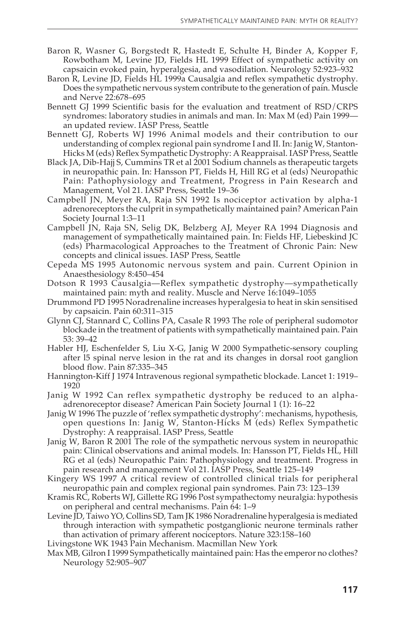- Baron R, Wasner G, Borgstedt R, Hastedt E, Schulte H, Binder A, Kopper F, Rowbotham M, Levine JD, Fields HL 1999 Effect of sympathetic activity on capsaicin evoked pain, hyperalgesia, and vasodilation. Neurology 52:923–932
- Baron R, Levine JD, Fields HL 1999a Causalgia and reflex sympathetic dystrophy. Does the sympathetic nervous system contribute to the generation of pain. Muscle and Nerve 22:678–695
- Bennett GJ 1999 Scientific basis for the evaluation and treatment of RSD/CRPS syndromes: laboratory studies in animals and man. In: Max M (ed) Pain 1999 an updated review. IASP Press, Seattle
- Bennett GJ, Roberts WJ 1996 Animal models and their contribution to our understanding of complex regional pain syndrome I and II. In: Janig W, Stanton-Hicks M (eds) Reflex Sympathetic Dystrophy: A Reappraisal. IASP Press, Seattle
- Black JA, Dib-Hajj S, Cummins TR et al 2001 Sodium channels as therapeutic targets in neuropathic pain. In: Hansson PT, Fields H, Hill RG et al (eds) Neuropathic Pain: Pathophysiology and Treatment, Progress in Pain Research and Management, Vol 21. IASP Press, Seattle 19–36
- Campbell JN, Meyer RA, Raja SN 1992 Is nociceptor activation by alpha-1 adrenoreceptors the culprit in sympathetically maintained pain? American Pain Society Journal 1:3–11
- Campbell JN, Raja SN, Selig DK, Belzberg AJ, Meyer RA 1994 Diagnosis and management of sympathetically maintained pain. In: Fields HF, Liebeskind JC (eds) Pharmacological Approaches to the Treatment of Chronic Pain: New concepts and clinical issues. IASP Press, Seattle
- Cepeda MS 1995 Autonomic nervous system and pain. Current Opinion in Anaesthesiology 8:450–454
- Dotson R 1993 Causalgia—Reflex sympathetic dystrophy—sympathetically maintained pain: myth and reality. Muscle and Nerve 16:1049–1055
- Drummond PD 1995 Noradrenaline increases hyperalgesia to heat in skin sensitised by capsaicin. Pain 60:311–315
- Glynn CJ, Stannard C, Collins PA, Casale R 1993 The role of peripheral sudomotor blockade in the treatment of patients with sympathetically maintained pain. Pain 53: 39–42
- Habler HJ, Eschenfelder S, Liu X-G, Janig W 2000 Sympathetic-sensory coupling after l5 spinal nerve lesion in the rat and its changes in dorsal root ganglion blood flow. Pain 87:335–345
- Hannington-Kiff J 1974 Intravenous regional sympathetic blockade. Lancet 1: 1919– 1920
- Janig W 1992 Can reflex sympathetic dystrophy be reduced to an alphaadrenoreceptor disease? American Pain Society Journal 1 (1): 16–22
- Janig W 1996 The puzzle of 'reflex sympathetic dystrophy': mechanisms, hypothesis, open questions In: Janig W, Stanton-Hicks M (eds) Reflex Sympathetic Dystrophy: A reappraisal. IASP Press, Seattle
- Janig W, Baron R 2001 The role of the sympathetic nervous system in neuropathic pain: Clinical observations and animal models. In: Hansson PT, Fields HL, Hill RG et al (eds) Neuropathic Pain: Pathophysiology and treatment. Progress in pain research and management Vol 21. IASP Press, Seattle 125–149
- Kingery WS 1997 A critical review of controlled clinical trials for peripheral neuropathic pain and complex regional pain syndromes. Pain 73: 123–139
- Kramis RC, Roberts WJ, Gillette RG 1996 Post sympathectomy neuralgia: hypothesis on peripheral and central mechanisms. Pain 64: 1–9
- Levine JD, Taiwo YO, Collins SD, Tam JK 1986 Noradrenaline hyperalgesia is mediated through interaction with sympathetic postganglionic neurone terminals rather than activation of primary afferent nociceptors. Nature 323:158–160
- Livingstone WK 1943 Pain Mechanism. Macmillan New York
- Max MB, Gilron I 1999 Sympathetically maintained pain: Has the emperor no clothes? Neurology 52:905–907